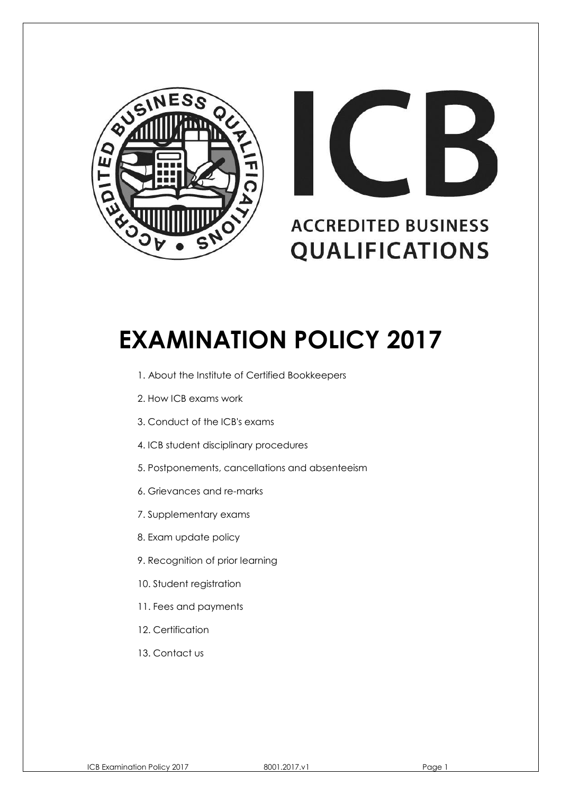



# **EXAMINATION POLICY 2017**

- 1. About the Institute of Certified Bookkeepers
- 2. How ICB exams work
- 3. Conduct of the ICB's exams
- 4. ICB student disciplinary procedures
- 5. Postponements, cancellations and absenteeism
- 6. Grievances and re-marks
- 7. Supplementary exams
- 8. Exam update policy
- 9. Recognition of prior learning
- 10. Student registration
- 11. Fees and payments
- 12. Certification
- 13. Contact us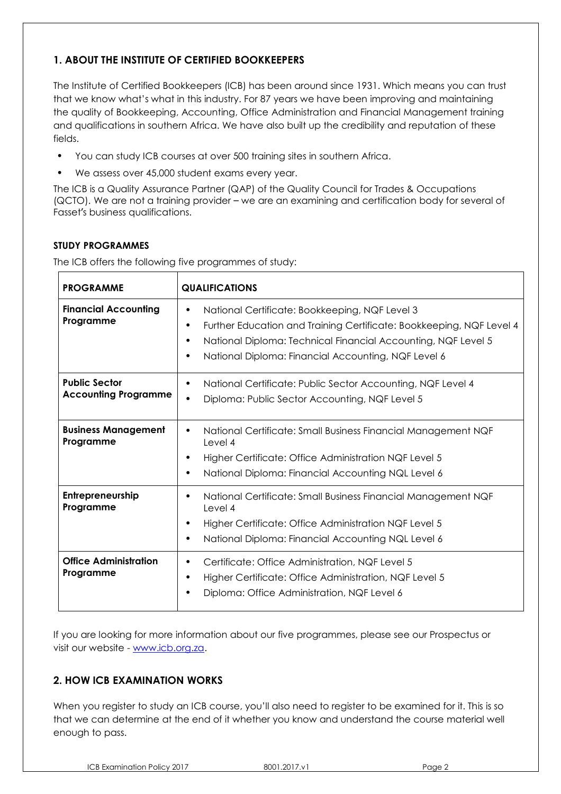# **1. ABOUT THE INSTITUTE OF CERTIFIED BOOKKEEPERS**

The Institute of Certified Bookkeepers (ICB) has been around since 1931. Which means you can trust that we know what's what in this industry. For 87 years we have been improving and maintaining the quality of Bookkeeping, Accounting, Office Administration and Financial Management training and qualifications in southern Africa. We have also built up the credibility and reputation of these fields.

- You can study ICB courses at over 500 training sites in southern Africa.
- We assess over 45,000 student exams every year.

The ICB is a Quality Assurance Partner (QAP) of the Quality Council for Trades & Occupations (QCTO). We are not a training provider – we are an examining and certification body for several of Fasset's business qualifications.

#### **STUDY PROGRAMMES**

The ICB offers the following five programmes of study:

| <b>PROGRAMME</b>                                    | <b>QUALIFICATIONS</b>                                                                                                                                                                                                                                                 |  |  |  |  |
|-----------------------------------------------------|-----------------------------------------------------------------------------------------------------------------------------------------------------------------------------------------------------------------------------------------------------------------------|--|--|--|--|
| <b>Financial Accounting</b><br>Programme            | National Certificate: Bookkeeping, NQF Level 3<br>Further Education and Training Certificate: Bookkeeping, NQF Level 4<br>٠<br>National Diploma: Technical Financial Accounting, NQF Level 5<br>٠<br>National Diploma: Financial Accounting, NQF Level 6<br>$\bullet$ |  |  |  |  |
| <b>Public Sector</b><br><b>Accounting Programme</b> | National Certificate: Public Sector Accounting, NQF Level 4<br>٠<br>Diploma: Public Sector Accounting, NQF Level 5<br>$\bullet$                                                                                                                                       |  |  |  |  |
| <b>Business Management</b><br>Programme             | National Certificate: Small Business Financial Management NQF<br>٠<br>Level 4<br>Higher Certificate: Office Administration NQF Level 5<br>National Diploma: Financial Accounting NQL Level 6                                                                          |  |  |  |  |
| Entrepreneurship<br>Programme                       | National Certificate: Small Business Financial Management NQF<br>Level 4<br>Higher Certificate: Office Administration NQF Level 5<br>$\bullet$<br>National Diploma: Financial Accounting NQL Level 6<br>٠                                                             |  |  |  |  |
| <b>Office Administration</b><br>Programme           | Certificate: Office Administration, NQF Level 5<br>٠<br>Higher Certificate: Office Administration, NQF Level 5<br>Diploma: Office Administration, NQF Level 6                                                                                                         |  |  |  |  |

If you are looking for more information about our five programmes, please see our Prospectus or visit our website - [www.icb.org.za.](http://www.icb.org.za/)

## **2. HOW ICB EXAMINATION WORKS**

When you register to study an ICB course, you'll also need to register to be examined for it. This is so that we can determine at the end of it whether you know and understand the course material well enough to pass.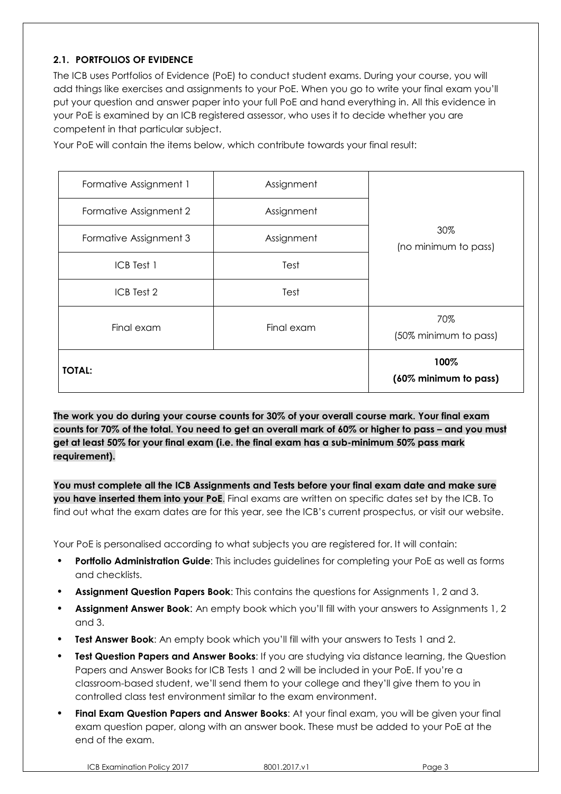## **2.1. PORTFOLIOS OF EVIDENCE**

The ICB uses Portfolios of Evidence (PoE) to conduct student exams. During your course, you will add things like exercises and assignments to your PoE. When you go to write your final exam you'll put your question and answer paper into your full PoE and hand everything in. All this evidence in your PoE is examined by an ICB registered assessor, who uses it to decide whether you are competent in that particular subject.

Your PoE will contain the items below, which contribute towards your final result:

| Formative Assignment 1 | Assignment                    |                             |  |  |
|------------------------|-------------------------------|-----------------------------|--|--|
| Formative Assignment 2 | Assignment                    | 30%<br>(no minimum to pass) |  |  |
| Formative Assignment 3 | Assignment                    |                             |  |  |
| ICB Test 1             | Test                          |                             |  |  |
| ICB Test 2             | Test                          |                             |  |  |
| Final exam             | 70%<br>(50% minimum to pass)  |                             |  |  |
| <b>TOTAL:</b>          | 100%<br>(60% minimum to pass) |                             |  |  |

**The work you do during your course counts for 30% of your overall course mark. Your final exam** counts for 70% of the total. You need to get an overall mark of 60% or higher to pass – and you must **get at least 50% for your final exam (i.e. the final exam has a sub-minimum 50% pass mark requirement).**

**You must complete all the ICB Assignments and Tests before your final exam date and make sure you have inserted them into your PoE**. Final exams are written on specific dates set by the ICB. To find out what the exam dates are for this year, see the ICB's current prospectus, or visit our website.

Your PoE is personalised according to what subjects you are registered for. It will contain:

- **• Portfolio Administration Guide**: This includes guidelines for completing your PoE as well as forms and checklists.
- **• Assignment Question Papers Book**: This contains the questions for Assignments 1, 2 and 3.
- **• Assignment Answer Book**: An empty book which you'll fill with your answers to Assignments 1, 2 and 3.
- **• Test Answer Book**: An empty book which you'll fill with your answers to Tests 1 and 2.
- **• Test Question Papers and Answer Books**: If you are studying via distance learning, the Question Papers and Answer Books for ICB Tests 1 and 2 will be included in your PoE. If you're a classroom-based student, we'll send them to your college and they'll give them to you in controlled class test environment similar to the exam environment.
- **• Final Exam Question Papers and Answer Books**: At your final exam, you will be given your final exam question paper, along with an answer book. These must be added to your PoE at the end of the exam.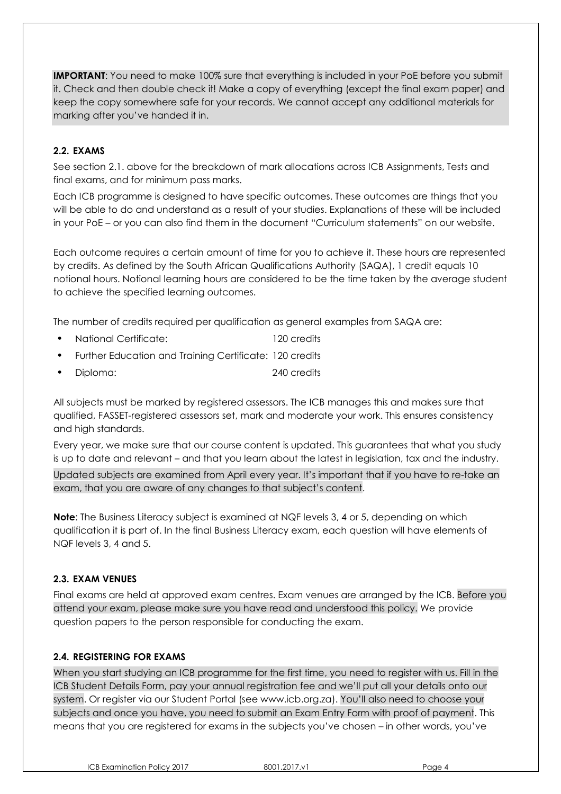**IMPORTANT**: You need to make 100% sure that everything is included in your PoE before you submit it. Check and then double check it! Make a copy of everything (except the final exam paper) and keep the copy somewhere safe for your records. We cannot accept any additional materials for marking after you've handed it in.

#### **2.2. EXAMS**

See section 2.1. above for the breakdown of mark allocations across ICB Assignments, Tests and final exams, and for minimum pass marks.

Each ICB programme is designed to have specific outcomes. These outcomes are things that you will be able to do and understand as a result of your studies. Explanations of these will be included in your PoE – or you can also find them in the document "Curriculum statements" on our website.

Each outcome requires a certain amount of time for you to achieve it. These hours are represented by credits. As defined by the South African Qualifications Authority (SAQA), 1 credit equals 10 notional hours. Notional learning hours are considered to be the time taken by the average student to achieve the specified learning outcomes.

The number of credits required per qualification as general examples from SAQA are:

- National Certificate: 120 credits
- Further Education and Training Certificate: 120 credits
- Diploma: 240 credits

All subjects must be marked by registered assessors. The ICB manages this and makes sure that qualified, FASSET-registered assessors set, mark and moderate your work. This ensures consistency and high standards.

Every year, we make sure that our course content is updated. This guarantees that what you study is up to date and relevant – and that you learn about the latest in legislation, tax and the industry.

Updated subjects are examined from April every year. It's important that if you have to re-take an exam, that you are aware of any changes to that subject's content.

**Note**: The Business Literacy subject is examined at NQF levels 3, 4 or 5, depending on which qualification it is part of. In the final Business Literacy exam, each question will have elements of NQF levels 3, 4 and 5.

#### **2.3. EXAM VENUES**

Final exams are held at approved exam centres. Exam venues are arranged by the ICB. Before you attend your exam, please make sure you have read and understood this policy. We provide question papers to the person responsible for conducting the exam.

#### **2.4. REGISTERING FOR EXAMS**

When you start studying an ICB programme for the first time, you need to register with us. Fill in the ICB Student Details Form, pay your annual registration fee and we'll put all your details onto our system. Or register via our Student Portal (see www.icb.org.za). You'll also need to choose your subjects and once you have, you need to submit an Exam Entry Form with proof of payment. This means that you are registered for exams in the subjects you've chosen – in other words, you've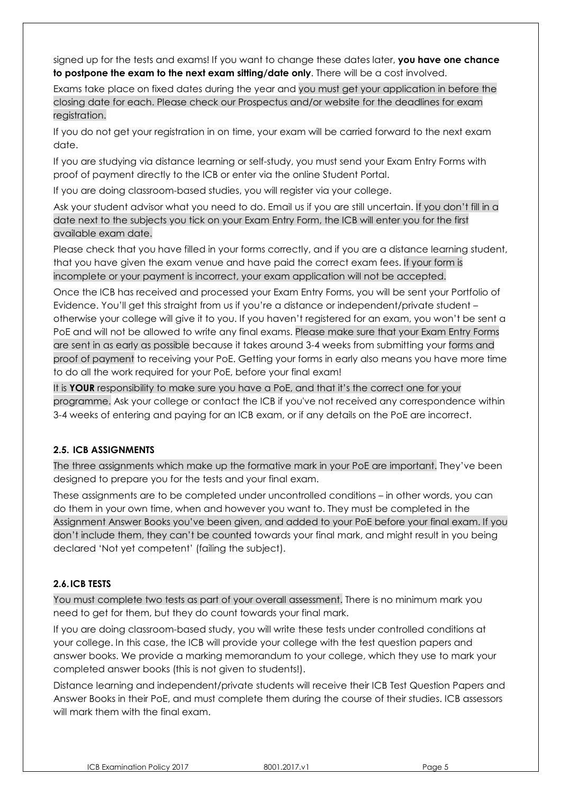signed up for the tests and exams! If you want to change these dates later, **you have one chance to postpone the exam to the next exam sitting/date only**. There will be a cost involved.

Exams take place on fixed dates during the year and you must get your application in before the closing date for each. Please check our Prospectus and/or website for the deadlines for exam registration.

If you do not get your registration in on time, your exam will be carried forward to the next exam date.

If you are studying via distance learning or self-study, you must send your Exam Entry Forms with proof of payment directly to the ICB or enter via the online Student Portal.

If you are doing classroom-based studies, you will register via your college.

Ask your student advisor what you need to do. Email us if you are still uncertain. If you don't fill in a date next to the subjects you tick on your Exam Entry Form, the ICB will enter you for the first available exam date.

Please check that you have filled in your forms correctly, and if you are a distance learning student, that you have given the exam venue and have paid the correct exam fees. If your form is incomplete or your payment is incorrect, your exam application will not be accepted.

Once the ICB has received and processed your Exam Entry Forms, you will be sent your Portfolio of Evidence. You'll get this straight from us if you're a distance or independent/private student – otherwise your college will give it to you. If you haven't registered for an exam, you won't be sent a PoE and will not be allowed to write any final exams. Please make sure that your Exam Entry Forms are sent in as early as possible because it takes around 3-4 weeks from submitting your forms and proof of payment to receiving your PoE. Getting your forms in early also means you have more time to do all the work required for your PoE, before your final exam!

It is **YOUR** responsibility to make sure you have a PoE, and that it's the correct one for your programme. Ask your college or contact the ICB if you've not received any correspondence within 3-4 weeks of entering and paying for an ICB exam, or if any details on the PoE are incorrect.

## **2.5. ICB ASSIGNMENTS**

The three assignments which make up the formative mark in your PoE are important. They've been designed to prepare you for the tests and your final exam.

These assignments are to be completed under uncontrolled conditions – in other words, you can do them in your own time, when and however you want to. They must be completed in the Assignment Answer Books you've been given, and added to your PoE before your final exam. If you don't include them, they can't be counted towards your final mark, and might result in you being declared 'Not yet competent' (failing the subject).

## **2.6.ICB TESTS**

You must complete two tests as part of your overall assessment. There is no minimum mark you need to get for them, but they do count towards your final mark.

If you are doing classroom-based study, you will write these tests under controlled conditions at your college. In this case, the ICB will provide your college with the test question papers and answer books. We provide a marking memorandum to your college, which they use to mark your completed answer books (this is not given to students!).

Distance learning and independent/private students will receive their ICB Test Question Papers and Answer Books in their PoE, and must complete them during the course of their studies. ICB assessors will mark them with the final exam.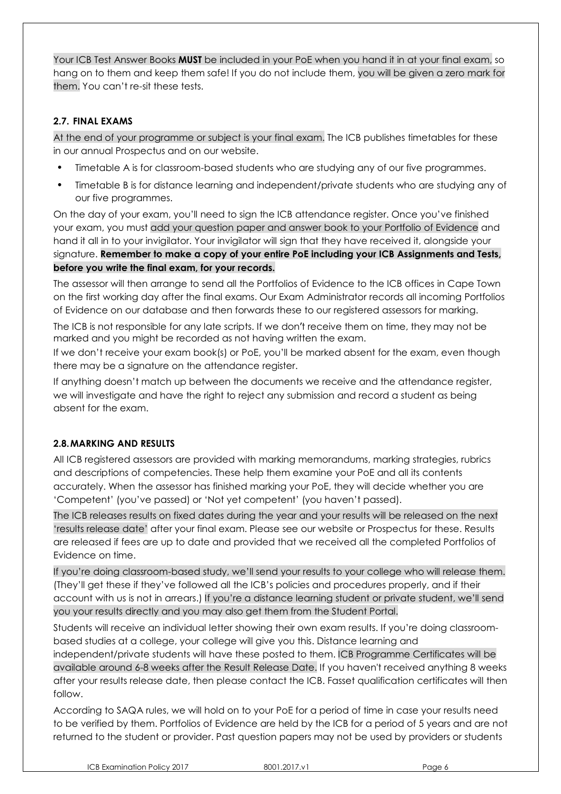Your ICB Test Answer Books **MUST** be included in your PoE when you hand it in at your final exam, so hang on to them and keep them safe! If you do not include them, you will be given a zero mark for them. You can't re-sit these tests.

#### **2.7. FINAL EXAMS**

At the end of your programme or subject is your final exam. The ICB publishes timetables for these in our annual Prospectus and on our website.

- Timetable A is for classroom-based students who are studying any of our five programmes.
- Timetable B is for distance learning and independent/private students who are studying any of our five programmes.

On the day of your exam, you'll need to sign the ICB attendance register. Once you've finished your exam, you must add your question paper and answer book to your Portfolio of Evidence and hand it all in to your invigilator. Your invigilator will sign that they have received it, alongside your signature. **Remember to make a copy of your entire PoE including your ICB Assignments and Tests, before you write the final exam, for your records.**

The assessor will then arrange to send all the Portfolios of Evidence to the ICB offices in Cape Town on the first working day after the final exams. Our Exam Administrator records all incoming Portfolios of Evidence on our database and then forwards these to our registered assessors for marking.

The ICB is not responsible for any late scripts. If we don't receive them on time, they may not be marked and you might be recorded as not having written the exam.

If we don't receive your exam book(s) or PoE, you'll be marked absent for the exam, even though there may be a signature on the attendance register.

If anything doesn't match up between the documents we receive and the attendance register, we will investigate and have the right to reject any submission and record a student as being absent for the exam.

#### **2.8.MARKING AND RESULTS**

All ICB registered assessors are provided with marking memorandums, marking strategies, rubrics and descriptions of competencies. These help them examine your PoE and all its contents accurately. When the assessor has finished marking your PoE, they will decide whether you are 'Competent' (you've passed) or 'Not yet competent' (you haven't passed).

The ICB releases results on fixed dates during the year and your results will be released on the next 'results release date' after your final exam. Please see our website or Prospectus for these. Results are released if fees are up to date and provided that we received all the completed Portfolios of Evidence on time.

If you're doing classroom-based study, we'll send your results to your college who will release them. (They'll get these if they've followed all the ICB's policies and procedures properly, and if their account with us is not in arrears.) If you're a distance learning student or private student, we'll send you your results directly and you may also get them from the Student Portal.

Students will receive an individual letter showing their own exam results. If you're doing classroombased studies at a college, your college will give you this. Distance learning and independent/private students will have these posted to them. ICB Programme Certificates will be available around 6-8 weeks after the Result Release Date. If you haven't received anything 8 weeks after your results release date, then please [contact](http://www.icb.org.za/contact.html) the ICB. Fasset qualification certificates will then follow.

According to SAQA rules, we will hold on to your PoE for a period of time in case your results need to be verified by them. Portfolios of Evidence are held by the ICB for a period of 5 years and are not returned to the student or provider. Past question papers may not be used by providers or students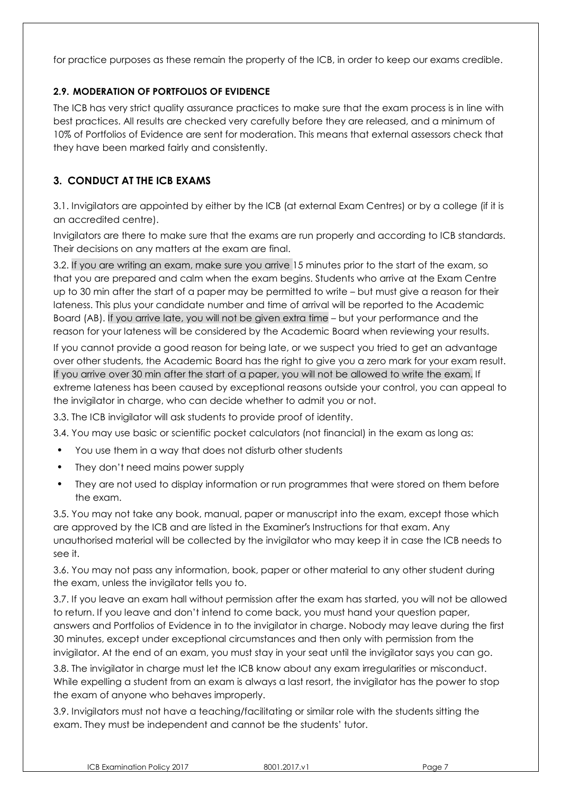for practice purposes as these remain the property of the ICB, in order to keep our exams credible.

## **2.9. MODERATION OF PORTFOLIOS OF EVIDENCE**

The ICB has very strict quality assurance practices to make sure that the exam process is in line with best practices. All results are checked very carefully before they are released, and a minimum of 10% of Portfolios of Evidence are sent for moderation. This means that external assessors check that they have been marked fairly and consistently.

# **3. CONDUCT AT THE ICB EXAMS**

3.1. Invigilators are appointed by either by the ICB (at external Exam Centres) or by a college (if it is an accredited centre).

Invigilators are there to make sure that the exams are run properly and according to ICB standards. Their decisions on any matters at the exam are final.

3.2. If you are writing an exam, make sure you arrive 15 minutes prior to the start of the exam, so that you are prepared and calm when the exam begins. Students who arrive at the Exam Centre up to 30 min after the start of a paper may be permitted to write – but must give a reason for their lateness. This plus your candidate number and time of arrival will be reported to the Academic Board (AB). If you arrive late, you will not be given extra time – but your performance and the reason for your lateness will be considered by the Academic Board when reviewing your results.

If you cannot provide a good reason for being late, or we suspect you tried to get an advantage over other students, the Academic Board has the right to give you a zero mark for your exam result. If you arrive over 30 min after the start of a paper, you will not be allowed to write the exam. If extreme lateness has been caused by exceptional reasons outside your control, you can appeal to the invigilator in charge, who can decide whether to admit you or not.

3.3. The ICB invigilator will ask students to provide proof of identity.

3.4. You may use basic or scientific pocket calculators (not financial) in the exam as long as:

- You use them in a way that does not disturb other students
- They don't need mains power supply
- They are not used to display information or run programmes that were stored on them before the exam.

3.5. You may not take any book, manual, paper or manuscript into the exam, except those which are approved by the ICB and are listed in the Examiner's Instructions for that exam. Any unauthorised material will be collected by the invigilator who may keep it in case the ICB needs to see it.

3.6. You may not pass any information, book, paper or other material to any other student during the exam, unless the invigilator tells you to.

3.7. If you leave an exam hall without permission after the exam has started, you will not be allowed to return. If you leave and don't intend to come back, you must hand your question paper, answers and Portfolios of Evidence in to the invigilator in charge. Nobody may leave during the first 30 minutes, except under exceptional circumstances and then only with permission from the invigilator. At the end of an exam, you must stay in your seat until the invigilator says you can go.

3.8. The invigilator in charge must let the ICB know about any exam irregularities or misconduct. While expelling a student from an exam is always a last resort, the invigilator has the power to stop the exam of anyone who behaves improperly.

3.9. Invigilators must not have a teaching/facilitating or similar role with the students sitting the exam. They must be independent and cannot be the students' tutor.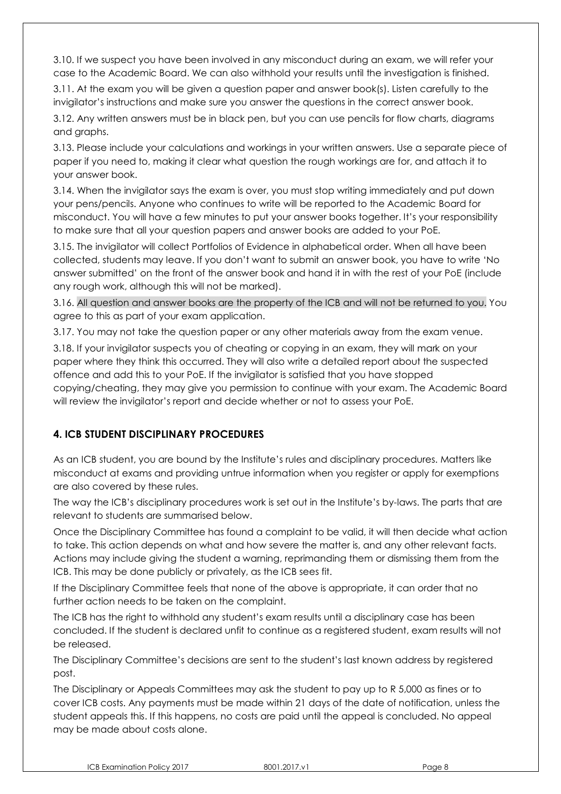3.10. If we suspect you have been involved in any misconduct during an exam, we will refer your case to the Academic Board. We can also withhold your results until the investigation is finished.

3.11. At the exam you will be given a question paper and answer book(s). Listen carefully to the invigilator's instructions and make sure you answer the questions in the correct answer book.

3.12. Any written answers must be in black pen, but you can use pencils for flow charts, diagrams and graphs.

3.13. Please include your calculations and workings in your written answers. Use a separate piece of paper if you need to, making it clear what question the rough workings are for, and attach it to your answer book.

3.14. When the invigilator says the exam is over, you must stop writing immediately and put down your pens/pencils. Anyone who continues to write will be reported to the Academic Board for misconduct. You will have a few minutes to put your answer books together. It's your responsibility to make sure that all your question papers and answer books are added to your PoE.

3.15. The invigilator will collect Portfolios of Evidence in alphabetical order. When all have been collected, students may leave. If you don't want to submit an answer book, you have to write 'No answer submitted' on the front of the answer book and hand it in with the rest of your PoE (include any rough work, although this will not be marked).

3.16. All question and answer books are the property of the ICB and will not be returned to you. You agree to this as part of your exam application.

3.17. You may not take the question paper or any other materials away from the exam venue.

3.18. If your invigilator suspects you of cheating or copying in an exam, they will mark on your paper where they think this occurred. They will also write a detailed report about the suspected offence and add this to your PoE. If the invigilator is satisfied that you have stopped copying/cheating, they may give you permission to continue with your exam. The Academic Board will review the invigilator's report and decide whether or not to assess your PoE.

# **4. ICB STUDENT DISCIPLINARY PROCEDURES**

As an ICB student, you are bound by the Institute's rules and disciplinary procedures. Matters like misconduct at exams and providing untrue information when you register or apply for exemptions are also covered by these rules.

The way the ICB's disciplinary procedures work is set out in the Institute's by-laws. The parts that are relevant to students are summarised below.

Once the Disciplinary Committee has found a complaint to be valid, it will then decide what action to take. This action depends on what and how severe the matter is, and any other relevant facts. Actions may include giving the student a warning, reprimanding them or dismissing them from the ICB. This may be done publicly or privately, as the ICB sees fit.

If the Disciplinary Committee feels that none of the above is appropriate, it can order that no further action needs to be taken on the complaint.

The ICB has the right to withhold any student's exam results until a disciplinary case has been concluded. If the student is declared unfit to continue as a registered student, exam results will not be released.

The Disciplinary Committee's decisions are sent to the student's last known address by registered post.

The Disciplinary or Appeals Committees may ask the student to pay up to R 5,000 as fines or to cover ICB costs. Any payments must be made within 21 days of the date of notification, unless the student appeals this. If this happens, no costs are paid until the appeal is concluded. No appeal may be made about costs alone.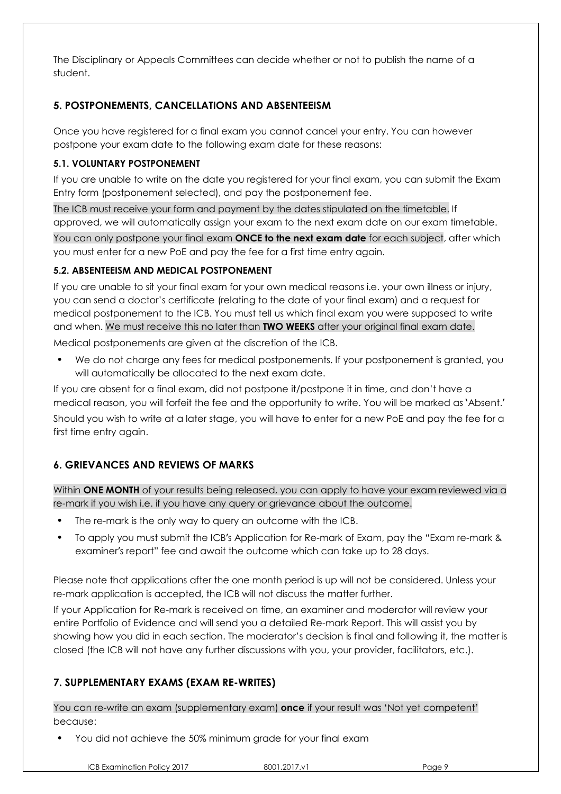The Disciplinary or Appeals Committees can decide whether or not to publish the name of a student.

# **5. POSTPONEMENTS, CANCELLATIONS AND ABSENTEEISM**

Once you have registered for a final exam you cannot cancel your entry. You can however postpone your exam date to the following exam date for these reasons:

#### **5.1. VOLUNTARY POSTPONEMENT**

If you are unable to write on the date you registered for your final exam, you can submit the Exam Entry form (postponement selected), and pay the postponement fee.

The ICB must receive your form and payment by the dates stipulated on the timetable. If approved, we will automatically assign your exam to the next exam date on our exam timetable.

You can only postpone your final exam **ONCE to the next exam date** for each subject, after which you must enter for a new PoE and pay the fee for a first time entry again.

#### **5.2. ABSENTEEISM AND MEDICAL POSTPONEMENT**

If you are unable to sit your final exam for your own medical reasons i.e. your own illness or injury, you can send a doctor's certificate (relating to the date of your final exam) and a request for medical postponement to the ICB. You must tell us which final exam you were supposed to write and when. We must receive this no later than **TWO WEEKS** after your original final exam date.

Medical postponements are given at the discretion of the ICB.

• We do not charge any fees for medical postponements. If your postponement is granted, you will automatically be allocated to the next exam date.

If you are absent for a final exam, did not postpone it/postpone it in time, and don't have a medical reason, you will forfeit the fee and the opportunity to write. You will be marked as 'Absent.' Should you wish to write at a later stage, you will have to enter for a new PoE and pay the fee for a first time entry again.

# **6. GRIEVANCES AND REVIEWS OF MARKS**

Within **ONE MONTH** of your results being released, you can apply to have your exam reviewed via a re-mark if you wish i.e. if you have any query or grievance about the outcome.

- The re-mark is the only way to query an outcome with the ICB.
- To apply you must submit the ICB's Application for Re-mark of Exam, pay the "Exam re-mark & examiner's report" fee and await the outcome which can take up to 28 days.

Please note that applications after the one month period is up will not be considered. Unless your re-mark application is accepted, the ICB will not discuss the matter further.

If your Application for Re-mark is received on time, an examiner and moderator will review your entire Portfolio of Evidence and will send you a detailed Re-mark Report. This will assist you by showing how you did in each section. The moderator's decision is final and following it, the matter is closed (the ICB will not have any further discussions with you, your provider, facilitators, etc.).

# **7. SUPPLEMENTARY EXAMS (EXAM RE-WRITES)**

You can re-write an exam (supplementary exam) **once** if your result was 'Not yet competent' because:

• You did not achieve the 50% minimum grade for your final exam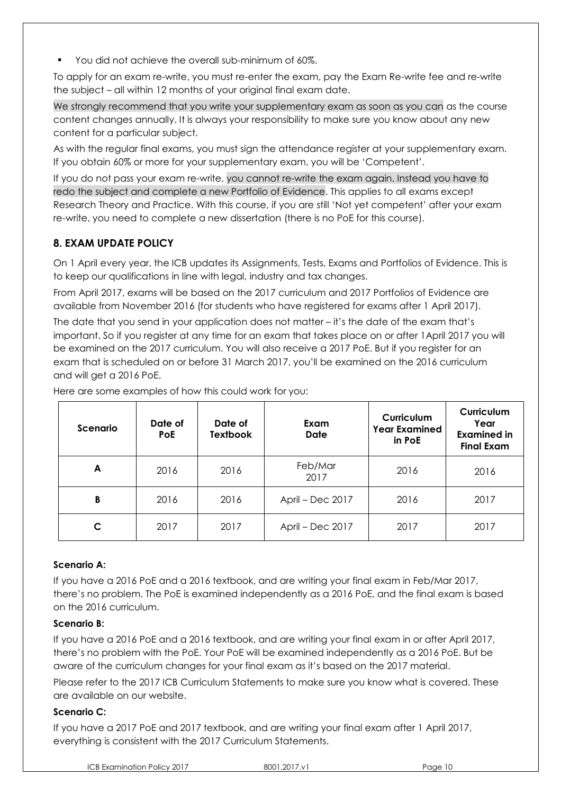• You did not achieve the overall sub-minimum of 60%.

To apply for an exam re-write, you must re-enter the exam, pay the Exam Re-write fee and re-write the subject – all within 12 months of your original final exam date.

We strongly recommend that you write your supplementary exam as soon as you can as the course content changes annually. It is always your responsibility to make sure you know about any new content for a particular subject.

As with the regular final exams, you must sign the attendance register at your supplementary exam. If you obtain 60% or more for your supplementary exam, you will be 'Competent'.

If you do not pass your exam re-write, you cannot re-write the exam again. Instead you have to redo the subject and complete a new Portfolio of Evidence. This applies to all exams except Research Theory and Practice. With this course, if you are still 'Not yet competent' after your exam re-write, you need to complete a new dissertation (there is no PoE for this course).

## **8. EXAM UPDATE POLICY**

On 1 April every year, the ICB updates its Assignments, Tests, Exams and Portfolios of Evidence. This is to keep our qualifications in line with legal, industry and tax changes.

From April 2017, exams will be based on the 2017 curriculum and 2017 Portfolios of Evidence are available from November 2016 (for students who have registered for exams after 1 April 2017).

The date that you send in your application does not matter – it's the date of the exam that's important. So if you register at any time for an exam that takes place on or after 1April 2017 you will be examined on the 2017 curriculum. You will also receive a 2017 PoE. But if you register for an exam that is scheduled on or before 31 March 2017, you'll be examined on the 2016 curriculum and will get a 2016 PoE.

| Scenario | Date of<br><b>PoE</b> | Date of<br><b>Textbook</b> | Exam<br><b>Date</b> | Curriculum<br><b>Year Examined</b><br>in PoE | Curriculum<br>Year<br><b>Examined in</b><br><b>Final Exam</b> |
|----------|-----------------------|----------------------------|---------------------|----------------------------------------------|---------------------------------------------------------------|
| A        | 2016                  | 2016                       | Feb/Mar<br>2017     | 2016                                         | 2016                                                          |
| B        | 2016                  | 2016                       | April - Dec 2017    | 2016                                         | 2017                                                          |
| C        | 2017                  | 2017                       | April – Dec 2017    | 2017                                         | 2017                                                          |

Here are some examples of how this could work for you:

#### **Scenario A:**

If you have a 2016 PoE and a 2016 textbook, and are writing your final exam in Feb/Mar 2017, there's no problem. The PoE is examined independently as a 2016 PoE, and the final exam is based on the 2016 curriculum.

#### **Scenario B:**

If you have a 2016 PoE and a 2016 textbook, and are writing your final exam in or after April 2017, there's no problem with the PoE. Your PoE will be examined independently as a 2016 PoE. But be aware of the curriculum changes for your final exam as it's based on the 2017 material.

Please refer to the 2017 ICB Curriculum Statements to make sure you know what is covered. These are available on our website.

#### **Scenario C:**

If you have a 2017 PoE and 2017 textbook, and are writing your final exam after 1 April 2017, everything is consistent with the 2017 Curriculum Statements.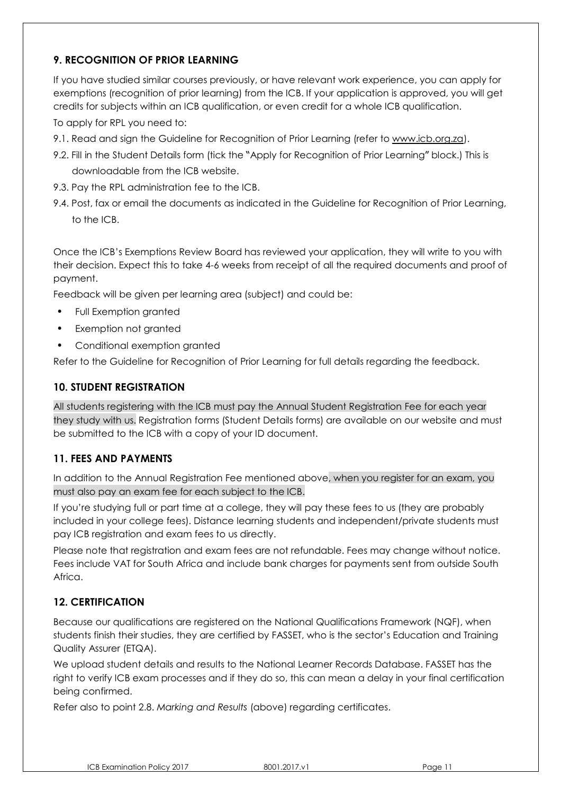# **9. RECOGNITION OF PRIOR LEARNING**

If you have studied similar courses previously, or have relevant work experience, you can apply for exemptions (recognition of prior learning) from the ICB. If your application is approved, you will get credits for subjects within an ICB qualification, or even credit for a whole ICB qualification.

To apply for RPL you need to:

- 9.1. Read and sign the Guideline for Recognition of Prior Learning (refer to [www.icb.org.za\)](http://www.icb.org.za/).
- 9.2. Fill in the Student Details form (tick the "Apply for Recognition of Prior Learning" block.) This is downloadable from the ICB website.
- 9.3. Pay the RPL administration fee to the ICB.
- 9.4. Post, fax or email the documents as indicated in the Guideline for Recognition of Prior Learning, to the ICB.

Once the ICB's Exemptions Review Board has reviewed your application, they will write to you with their decision. Expect this to take 4-6 weeks from receipt of all the required documents and proof of payment.

Feedback will be given per learning area (subject) and could be:

- Full Exemption granted
- Exemption not granted
- Conditional exemption granted

Refer to the Guideline for Recognition of Prior Learning for full details regarding the feedback.

## **10. STUDENT REGISTRATION**

All students registering with the ICB must pay the Annual Student Registration Fee for each year they study with us. Registration forms (Student Details forms) are available on our website and must be submitted to the ICB with a copy of your ID document.

## **11. FEES AND PAYMENTS**

In addition to the Annual Registration Fee mentioned above, when you register for an exam, you must also pay an exam fee for each subject to the ICB.

If you're studying full or part time at a college, they will pay these fees to us (they are probably included in your college fees). Distance learning students and independent/private students must pay ICB registration and exam fees to us directly.

Please note that registration and exam fees are not refundable. Fees may change without notice. Fees include VAT for South Africa and include bank charges for payments sent from outside South Africa.

## **12. CERTIFICATION**

Because our qualifications are registered on the National Qualifications Framework (NQF), when students finish their studies, they are certified by FASSET, who is the sector's Education and Training Quality Assurer (ETQA).

We upload student details and results to the National Learner Records Database. FASSET has the right to verify ICB exam processes and if they do so, this can mean a delay in your final certification being confirmed.

Refer also to point 2.8. *Marking and Results* (above) regarding certificates.